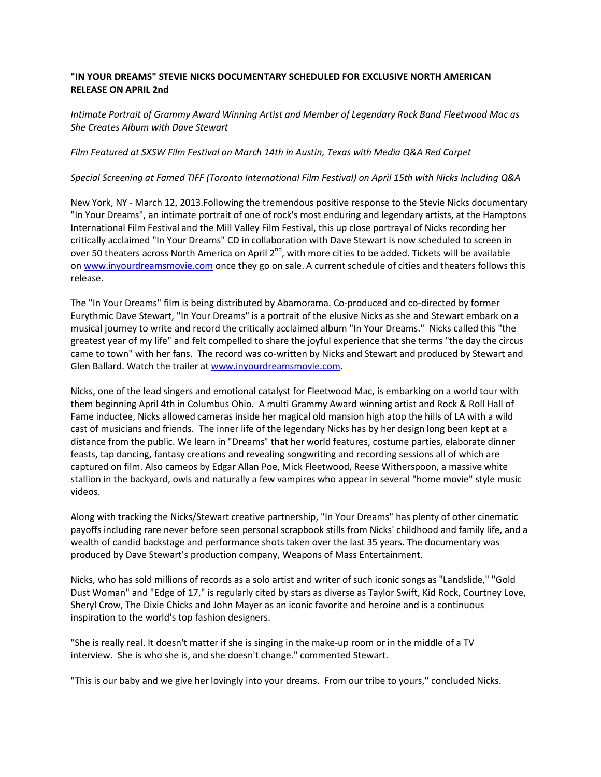## **"IN YOUR DREAMS" STEVIE NICKS DOCUMENTARY SCHEDULED FOR EXCLUSIVE NORTH AMERICAN RELEASE ON APRIL 2nd**

*Intimate Portrait of Grammy Award Winning Artist and Member of Legendary Rock Band Fleetwood Mac as She Creates Album with Dave Stewart* 

## *Film Featured at SXSW Film Festival on March 14th in Austin, Texas with Media Q&A Red Carpet*

## *Special Screening at Famed TIFF (Toronto International Film Festival) on April 15th with Nicks Including Q&A*

New York, NY - March 12, 2013.Following the tremendous positive response to the Stevie Nicks documentary "In Your Dreams", an intimate portrait of one of rock's most enduring and legendary artists, at the Hamptons International Film Festival and the Mill Valley Film Festival, this up close portrayal of Nicks recording her critically acclaimed "In Your Dreams" CD in collaboration with Dave Stewart is now scheduled to screen in over 50 theaters across North America on April 2<sup>nd</sup>, with more cities to be added. Tickets will be available on www.inyourdreamsmovie.com once they go on sale. A current schedule of cities and theaters follows this release.

The "In Your Dreams" film is being distributed by Abamorama. Co-produced and co-directed by former Eurythmic Dave Stewart, "In Your Dreams" is a portrait of the elusive Nicks as she and Stewart embark on a musical journey to write and record the critically acclaimed album "In Your Dreams." Nicks called this "the greatest year of my life" and felt compelled to share the joyful experience that she terms "the day the circus came to town" with her fans. The record was co-written by Nicks and Stewart and produced by Stewart and Glen Ballard. Watch the trailer at www.inyourdreamsmovie.com.

Nicks, one of the lead singers and emotional catalyst for Fleetwood Mac, is embarking on a world tour with them beginning April 4th in Columbus Ohio. A multi Grammy Award winning artist and Rock & Roll Hall of Fame inductee, Nicks allowed cameras inside her magical old mansion high atop the hills of LA with a wild cast of musicians and friends. The inner life of the legendary Nicks has by her design long been kept at a distance from the public. We learn in "Dreams" that her world features, costume parties, elaborate dinner feasts, tap dancing, fantasy creations and revealing songwriting and recording sessions all of which are captured on film. Also cameos by Edgar Allan Poe, Mick Fleetwood, Reese Witherspoon, a massive white stallion in the backyard, owls and naturally a few vampires who appear in several "home movie" style music videos.

Along with tracking the Nicks/Stewart creative partnership, "In Your Dreams" has plenty of other cinematic payoffs including rare never before seen personal scrapbook stills from Nicks' childhood and family life, and a wealth of candid backstage and performance shots taken over the last 35 years. The documentary was produced by Dave Stewart's production company, Weapons of Mass Entertainment.

Nicks, who has sold millions of records as a solo artist and writer of such iconic songs as "Landslide," "Gold Dust Woman" and "Edge of 17," is regularly cited by stars as diverse as Taylor Swift, Kid Rock, Courtney Love, Sheryl Crow, The Dixie Chicks and John Mayer as an iconic favorite and heroine and is a continuous inspiration to the world's top fashion designers.

"She is really real. It doesn't matter if she is singing in the make-up room or in the middle of a TV interview. She is who she is, and she doesn't change." commented Stewart.

"This is our baby and we give her lovingly into your dreams. From our tribe to yours," concluded Nicks.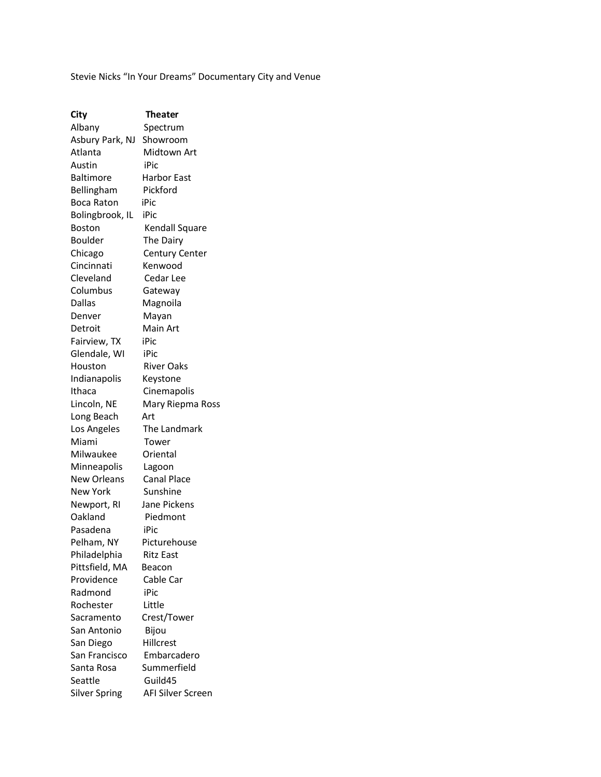Stevie Nicks "In Your Dreams" Documentary City and Venue

| City             | Theater               |
|------------------|-----------------------|
| Albany           | Spectrum              |
| Asbury Park, NJ  | Showroom              |
| Atlanta          | Midtown Art           |
| Austin           | iPic                  |
| <b>Baltimore</b> | <b>Harbor East</b>    |
| Bellingham       | Pickford              |
| Boca Raton       | iPic                  |
| Bolingbrook, IL  | iPic                  |
| <b>Boston</b>    | Kendall Square        |
| Boulder          | The Dairy             |
| Chicago          | <b>Century Center</b> |
| Cincinnati       | Kenwood               |
| Cleveland        | Cedar Lee             |
| Columbus         | Gateway               |
| Dallas           | Magnoila              |
| Denver           | Mayan                 |
| Detroit          | Main Art              |
| Fairview, TX     | iPic                  |
| Glendale, WI     | iPic                  |
| Houston          | <b>River Oaks</b>     |
| Indianapolis     | Keystone              |
| Ithaca           | Cinemapolis           |
| Lincoln, NE      | Mary Riepma Ross      |
| Long Beach       | Art                   |
| Los Angeles      | The Landmark          |
| Miami            | Tower                 |
| Milwaukee        | Oriental              |
| Minneapolis      | Lagoon                |
| New Orleans      | <b>Canal Place</b>    |
| <b>New York</b>  | Sunshine              |
| Newport, RI      | Jane Pickens          |
| Oakland          | Piedmont              |
| Pasadena         | iPic                  |
| Pelham, NY       | Picturehouse          |
| Philadelphia     | Ritz East             |
| Pittsfield, MA   | Beacon                |
| Providence       | Cable Car             |
| Radmond          | iPic                  |
| Rochester        | Little                |
| Sacramento       | Crest/Tower           |
| San Antonio      | Bijou                 |
| San Diego        | Hillcrest             |
| San Francisco    | Embarcadero           |
| Santa Rosa       | Summerfield           |
| Seattle          | Guild45               |
| Silver Spring    | AFI Silver Screen     |